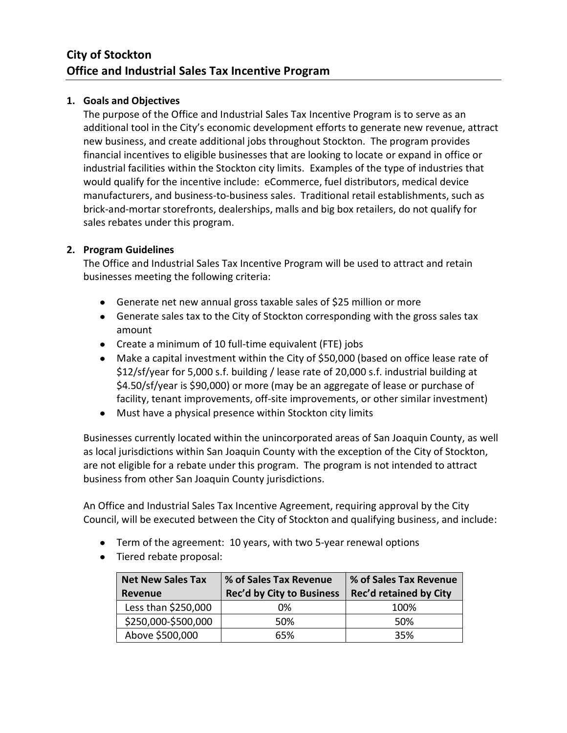## **1. Goals and Objectives**

The purpose of the Office and Industrial Sales Tax Incentive Program is to serve as an additional tool in the City's economic development efforts to generate new revenue, attract new business, and create additional jobs throughout Stockton. The program provides financial incentives to eligible businesses that are looking to locate or expand in office or industrial facilities within the Stockton city limits. Examples of the type of industries that would qualify for the incentive include: eCommerce, fuel distributors, medical device manufacturers, and business-to-business sales. Traditional retail establishments, such as brick-and-mortar storefronts, dealerships, malls and big box retailers, do not qualify for sales rebates under this program.

## **2. Program Guidelines**

The Office and Industrial Sales Tax Incentive Program will be used to attract and retain businesses meeting the following criteria:

- Generate net new annual gross taxable sales of \$25 million or more
- Generate sales tax to the City of Stockton corresponding with the gross sales tax amount
- Create a minimum of 10 full-time equivalent (FTE) jobs
- Make a capital investment within the City of \$50,000 (based on office lease rate of \$12/sf/year for 5,000 s.f. building / lease rate of 20,000 s.f. industrial building at \$4.50/sf/year is \$90,000) or more (may be an aggregate of lease or purchase of facility, tenant improvements, off-site improvements, or other similar investment)
- Must have a physical presence within Stockton city limits

Businesses currently located within the unincorporated areas of San Joaquin County, as well as local jurisdictions within San Joaquin County with the exception of the City of Stockton, are not eligible for a rebate under this program. The program is not intended to attract business from other San Joaquin County jurisdictions.

An Office and Industrial Sales Tax Incentive Agreement, requiring approval by the City Council, will be executed between the City of Stockton and qualifying business, and include:

- Term of the agreement: 10 years, with two 5-year renewal options
- Tiered rebate proposal:

| <b>Net New Sales Tax</b><br>Revenue | % of Sales Tax Revenue<br><b>Rec'd by City to Business</b> | % of Sales Tax Revenue<br>Rec'd retained by City |
|-------------------------------------|------------------------------------------------------------|--------------------------------------------------|
| Less than \$250,000                 | 0%                                                         | 100%                                             |
| \$250,000-\$500,000                 | 50%                                                        | 50%                                              |
| Above \$500,000                     | 65%                                                        | 35%                                              |